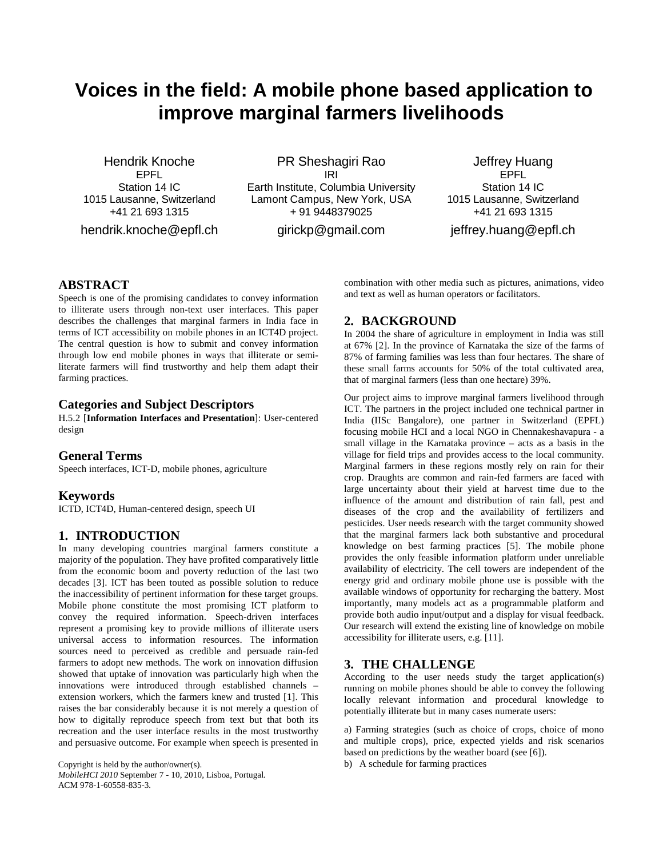# **Voices in the field: A mobile phone based application to improve marginal farmers livelihoods**

Hendrik Knoche EPFL Station 14 IC 1015 Lausanne, Switzerland +41 21 693 1315

hendrik.knoche@epfl.ch

PR Sheshagiri Rao IRI Earth Institute, Columbia University Lamont Campus, New York, USA + 91 9448379025

girickp@gmail.com

Jeffrey Huang EPFL Station 14 IC 1015 Lausanne, Switzerland +41 21 693 1315

jeffrey.huang@epfl.ch

## **ABSTRACT**

Speech is one of the promising candidates to convey information to illiterate users through non-text user interfaces. This paper describes the challenges that marginal farmers in India face in terms of ICT accessibility on mobile phones in an ICT4D project. The central question is how to submit and convey information through low end mobile phones in ways that illiterate or semiliterate farmers will find trustworthy and help them adapt their farming practices.

#### **Categories and Subject Descriptors**

H.5.2 [**Information Interfaces and Presentation**]: User-centered design

## **General Terms**

Speech interfaces, ICT-D, mobile phones, agriculture

## **Keywords**

ICTD, ICT4D, Human-centered design, speech UI

# **1. INTRODUCTION**

In many developing countries marginal farmers constitute a majority of the population. They have profited comparatively little from the economic boom and poverty reduction of the last two decades [3]. ICT has been touted as possible solution to reduce the inaccessibility of pertinent information for these target groups. Mobile phone constitute the most promising ICT platform to convey the required information. Speech-driven interfaces represent a promising key to provide millions of illiterate users universal access to information resources. The information sources need to perceived as credible and persuade rain-fed farmers to adopt new methods. The work on innovation diffusion showed that uptake of innovation was particularly high when the innovations were introduced through established channels – extension workers, which the farmers knew and trusted [1]. This raises the bar considerably because it is not merely a question of how to digitally reproduce speech from text but that both its recreation and the user interface results in the most trustworthy and persuasive outcome. For example when speech is presented in

Copyright is held by the author/owner(s). b) A schedule for farming practices *MobileHCI 2010* September 7 - 10, 2010, Lisboa, Portugal*.*  ACM 978-1-60558-835-3*.*

combination with other media such as pictures, animations, video and text as well as human operators or facilitators.

## **2. BACKGROUND**

In 2004 the share of agriculture in employment in India was still at 67% [2]. In the province of Karnataka the size of the farms of 87% of farming families was less than four hectares. The share of these small farms accounts for 50% of the total cultivated area, that of marginal farmers (less than one hectare) 39%.

Our project aims to improve marginal farmers livelihood through ICT. The partners in the project included one technical partner in India (IISc Bangalore), one partner in Switzerland (EPFL) focusing mobile HCI and a local NGO in Chennakeshavapura - a small village in the Karnataka province – acts as a basis in the village for field trips and provides access to the local community. Marginal farmers in these regions mostly rely on rain for their crop. Draughts are common and rain-fed farmers are faced with large uncertainty about their yield at harvest time due to the influence of the amount and distribution of rain fall, pest and diseases of the crop and the availability of fertilizers and pesticides. User needs research with the target community showed that the marginal farmers lack both substantive and procedural knowledge on best farming practices [5]. The mobile phone provides the only feasible information platform under unreliable availability of electricity. The cell towers are independent of the energy grid and ordinary mobile phone use is possible with the available windows of opportunity for recharging the battery. Most importantly, many models act as a programmable platform and provide both audio input/output and a display for visual feedback. Our research will extend the existing line of knowledge on mobile accessibility for illiterate users, e.g. [11].

## **3. THE CHALLENGE**

According to the user needs study the target application(s) running on mobile phones should be able to convey the following locally relevant information and procedural knowledge to potentially illiterate but in many cases numerate users:

a) Farming strategies (such as choice of crops, choice of mono and multiple crops), price, expected yields and risk scenarios based on predictions by the weather board (see [6]).